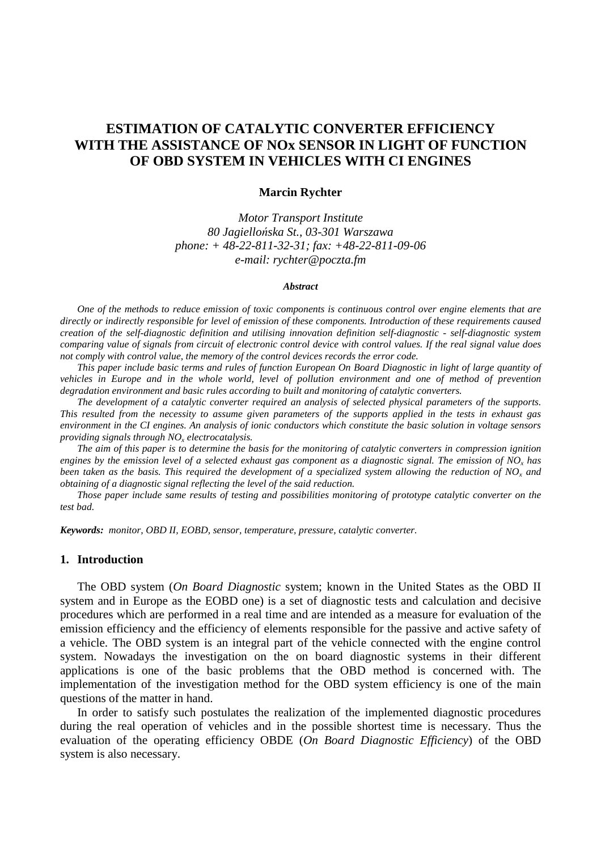# **ESTIMATION OF CATALYTIC CONVERTER EFFICIENCY WITH THE ASSISTANCE OF NOx SENSOR IN LIGHT OF FUNCTION OF OBD SYSTEM IN VEHICLES WITH CI ENGINES**

#### **Marcin Rychter**

*Motor Transport Institute 80 Jagiello*ń*ska St., 03-301 Warszawa phone: + 48-22-811-32-31; fax: +48-22-811-09-06 e-mail: rychter@poczta.fm* 

#### *Abstract*

*One of the methods to reduce emission of toxic components is continuous control over engine elements that are directly or indirectly responsible for level of emission of these components. Introduction of these requirements caused creation of the self-diagnostic definition and utilising innovation definition self-diagnostic - self-diagnostic system comparing value of signals from circuit of electronic control device with control values. If the real signal value does not comply with control value, the memory of the control devices records the error code.* 

*This paper include basic terms and rules of function European On Board Diagnostic in light of large quantity of vehicles in Europe and in the whole world, level of pollution environment and one of method of prevention degradation environment and basic rules according to built and monitoring of catalytic converters.* 

*The development of a catalytic converter required an analysis of selected physical parameters of the supports. This resulted from the necessity to assume given parameters of the supports applied in the tests in exhaust gas environment in the CI engines. An analysis of ionic conductors which constitute the basic solution in voltage sensors providing signals through NO<sup>x</sup> electrocatalysis.* 

*The aim of this paper is to determine the basis for the monitoring of catalytic converters in compression ignition engines by the emission level of a selected exhaust gas component as a diagnostic signal. The emission of NO<sup>x</sup> has been taken as the basis. This required the development of a specialized system allowing the reduction of NO<sup>x</sup> and obtaining of a diagnostic signal reflecting the level of the said reduction.* 

*Those paper include same results of testing and possibilities monitoring of prototype catalytic converter on the test bad.* 

*Keywords: monitor, OBD II, EOBD, sensor, temperature, pressure, catalytic converter.*

### **1. Introduction**

The OBD system (*On Board Diagnostic* system; known in the United States as the OBD II system and in Europe as the EOBD one) is a set of diagnostic tests and calculation and decisive procedures which are performed in a real time and are intended as a measure for evaluation of the emission efficiency and the efficiency of elements responsible for the passive and active safety of a vehicle. The OBD system is an integral part of the vehicle connected with the engine control system. Nowadays the investigation on the on board diagnostic systems in their different applications is one of the basic problems that the OBD method is concerned with. The implementation of the investigation method for the OBD system efficiency is one of the main questions of the matter in hand.

In order to satisfy such postulates the realization of the implemented diagnostic procedures during the real operation of vehicles and in the possible shortest time is necessary. Thus the evaluation of the operating efficiency OBDE (*On Board Diagnostic Efficiency*) of the OBD system is also necessary.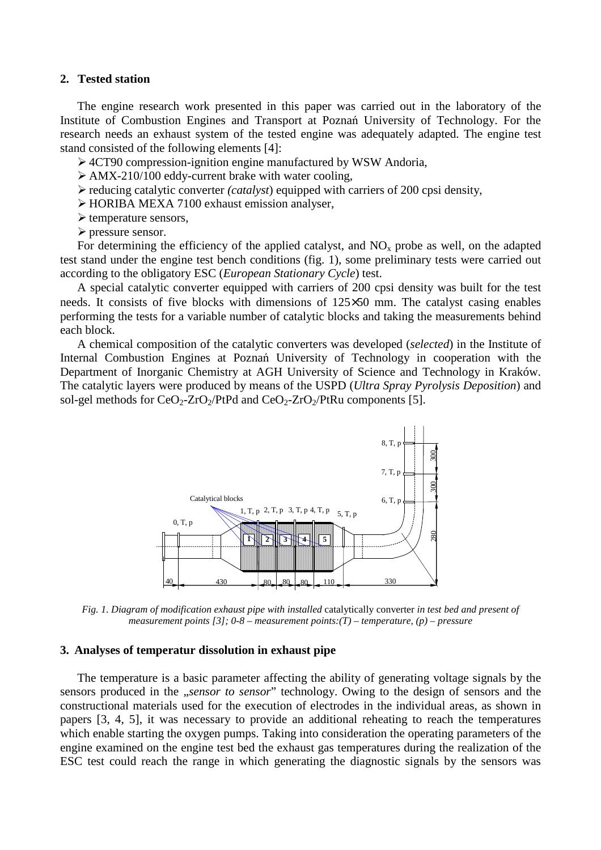### **2. Tested station**

The engine research work presented in this paper was carried out in the laboratory of the Institute of Combustion Engines and Transport at Poznań University of Technology. For the research needs an exhaust system of the tested engine was adequately adapted. The engine test stand consisted of the following elements [4]:

4CT90 compression-ignition engine manufactured by WSW Andoria,

- $\triangleright$  AMX-210/100 eddy-current brake with water cooling,
- reducing catalytic converter *(catalyst*) equipped with carriers of 200 cpsi density,
- HORIBA MEXA 7100 exhaust emission analyser,
- $\triangleright$  temperature sensors,
- $\triangleright$  pressure sensor.

For determining the efficiency of the applied catalyst, and  $NO<sub>x</sub>$  probe as well, on the adapted test stand under the engine test bench conditions (fig. 1), some preliminary tests were carried out according to the obligatory ESC (*European Stationary Cycle*) test.

A special catalytic converter equipped with carriers of 200 cpsi density was built for the test needs. It consists of five blocks with dimensions of 125×50 mm. The catalyst casing enables performing the tests for a variable number of catalytic blocks and taking the measurements behind each block.

A chemical composition of the catalytic converters was developed (*selected*) in the Institute of Internal Combustion Engines at Poznań University of Technology in cooperation with the Department of Inorganic Chemistry at AGH University of Science and Technology in Kraków. The catalytic layers were produced by means of the USPD (*Ultra Spray Pyrolysis Deposition*) and sol-gel methods for  $CeO<sub>2</sub>-ZrO<sub>2</sub>/PtPd$  and  $CeO<sub>2</sub>-ZrO<sub>2</sub>/PtRu$  components [5].



*Fig. 1. Diagram of modification exhaust pipe with installed* catalytically converter *in test bed and present of measurement points [3]; 0-8 – measurement points:(T) – temperature, (p) – pressure* 

### **3. Analyses of temperatur dissolution in exhaust pipe**

The temperature is a basic parameter affecting the ability of generating voltage signals by the sensors produced in the *"sensor to sensor*" technology. Owing to the design of sensors and the constructional materials used for the execution of electrodes in the individual areas, as shown in papers [3, 4, 5], it was necessary to provide an additional reheating to reach the temperatures which enable starting the oxygen pumps. Taking into consideration the operating parameters of the engine examined on the engine test bed the exhaust gas temperatures during the realization of the ESC test could reach the range in which generating the diagnostic signals by the sensors was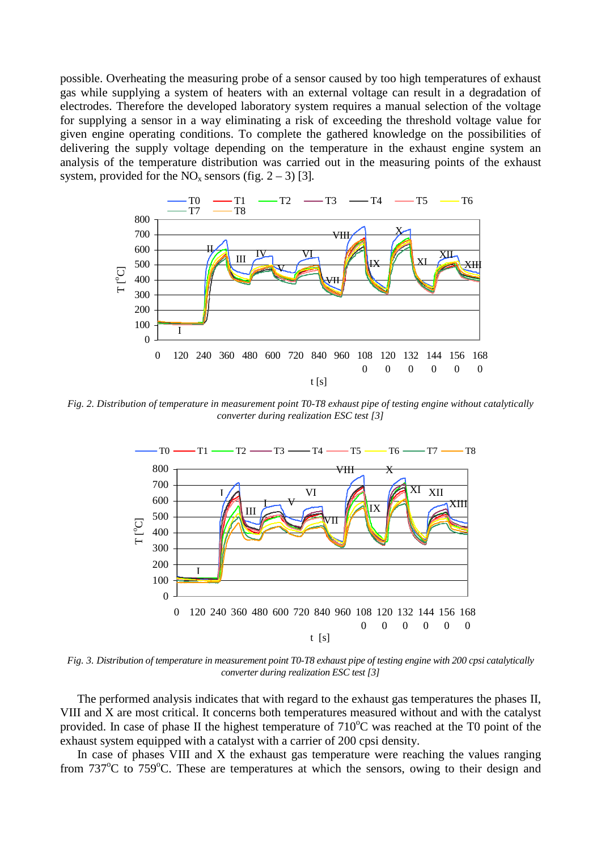possible. Overheating the measuring probe of a sensor caused by too high temperatures of exhaust gas while supplying a system of heaters with an external voltage can result in a degradation of electrodes. Therefore the developed laboratory system requires a manual selection of the voltage for supplying a sensor in a way eliminating a risk of exceeding the threshold voltage value for given engine operating conditions. To complete the gathered knowledge on the possibilities of delivering the supply voltage depending on the temperature in the exhaust engine system an analysis of the temperature distribution was carried out in the measuring points of the exhaust system, provided for the  $NO<sub>x</sub>$  sensors (fig. 2 – 3) [3].



*Fig. 2. Distribution of temperature in measurement point T0-T8 exhaust pipe of testing engine without catalytically converter during realization ESC test [3]* 



*Fig. 3. Distribution of temperature in measurement point T0-T8 exhaust pipe of testing engine with 200 cpsi catalytically converter during realization ESC test [3]* 

The performed analysis indicates that with regard to the exhaust gas temperatures the phases II, VIII and X are most critical. It concerns both temperatures measured without and with the catalyst provided. In case of phase II the highest temperature of  $710^{\circ}$ C was reached at the T0 point of the exhaust system equipped with a catalyst with a carrier of 200 cpsi density.

In case of phases VIII and X the exhaust gas temperature were reaching the values ranging from  $737^{\circ}$ C to  $759^{\circ}$ C. These are temperatures at which the sensors, owing to their design and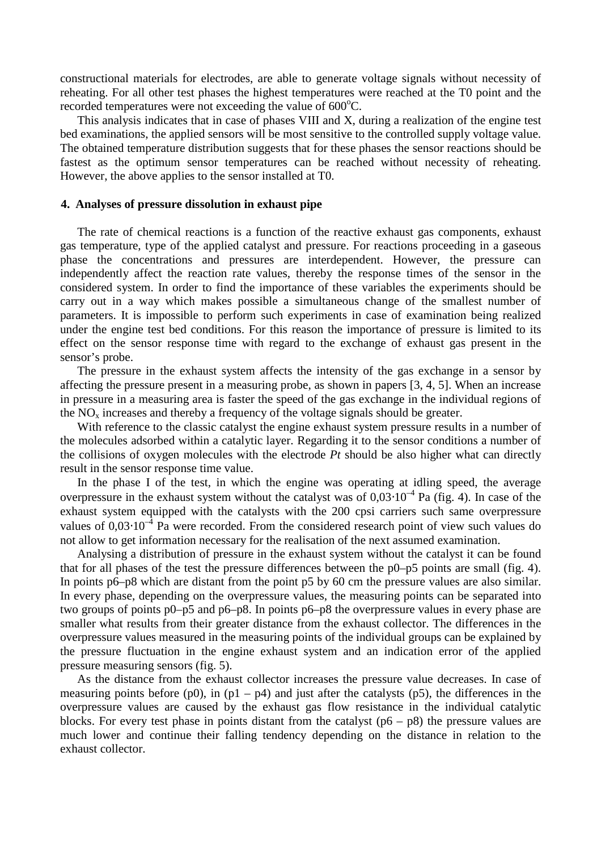constructional materials for electrodes, are able to generate voltage signals without necessity of reheating. For all other test phases the highest temperatures were reached at the T0 point and the recorded temperatures were not exceeding the value of  $600^{\circ}$ C.

This analysis indicates that in case of phases VIII and X, during a realization of the engine test bed examinations, the applied sensors will be most sensitive to the controlled supply voltage value. The obtained temperature distribution suggests that for these phases the sensor reactions should be fastest as the optimum sensor temperatures can be reached without necessity of reheating. However, the above applies to the sensor installed at T0.

### **4. Analyses of pressure dissolution in exhaust pipe**

The rate of chemical reactions is a function of the reactive exhaust gas components, exhaust gas temperature, type of the applied catalyst and pressure. For reactions proceeding in a gaseous phase the concentrations and pressures are interdependent. However, the pressure can independently affect the reaction rate values, thereby the response times of the sensor in the considered system. In order to find the importance of these variables the experiments should be carry out in a way which makes possible a simultaneous change of the smallest number of parameters. It is impossible to perform such experiments in case of examination being realized under the engine test bed conditions. For this reason the importance of pressure is limited to its effect on the sensor response time with regard to the exchange of exhaust gas present in the sensor's probe.

The pressure in the exhaust system affects the intensity of the gas exchange in a sensor by affecting the pressure present in a measuring probe, as shown in papers [3, 4, 5]. When an increase in pressure in a measuring area is faster the speed of the gas exchange in the individual regions of the  $NO<sub>x</sub>$  increases and thereby a frequency of the voltage signals should be greater.

With reference to the classic catalyst the engine exhaust system pressure results in a number of the molecules adsorbed within a catalytic layer. Regarding it to the sensor conditions a number of the collisions of oxygen molecules with the electrode *Pt* should be also higher what can directly result in the sensor response time value.

In the phase I of the test, in which the engine was operating at idling speed, the average overpressure in the exhaust system without the catalyst was of  $0.03 \cdot 10^{-4}$  Pa (fig. 4). In case of the exhaust system equipped with the catalysts with the 200 cpsi carriers such same overpressure values of  $0.03 \cdot 10^{-4}$  Pa were recorded. From the considered research point of view such values do not allow to get information necessary for the realisation of the next assumed examination.

Analysing a distribution of pressure in the exhaust system without the catalyst it can be found that for all phases of the test the pressure differences between the p0–p5 points are small (fig. 4). In points p6–p8 which are distant from the point p5 by 60 cm the pressure values are also similar. In every phase, depending on the overpressure values, the measuring points can be separated into two groups of points p0–p5 and p6–p8. In points p6–p8 the overpressure values in every phase are smaller what results from their greater distance from the exhaust collector. The differences in the overpressure values measured in the measuring points of the individual groups can be explained by the pressure fluctuation in the engine exhaust system and an indication error of the applied pressure measuring sensors (fig. 5).

As the distance from the exhaust collector increases the pressure value decreases. In case of measuring points before (p0), in  $(p1 - p4)$  and just after the catalysts (p5), the differences in the overpressure values are caused by the exhaust gas flow resistance in the individual catalytic blocks. For every test phase in points distant from the catalyst  $(p6 - p8)$  the pressure values are much lower and continue their falling tendency depending on the distance in relation to the exhaust collector.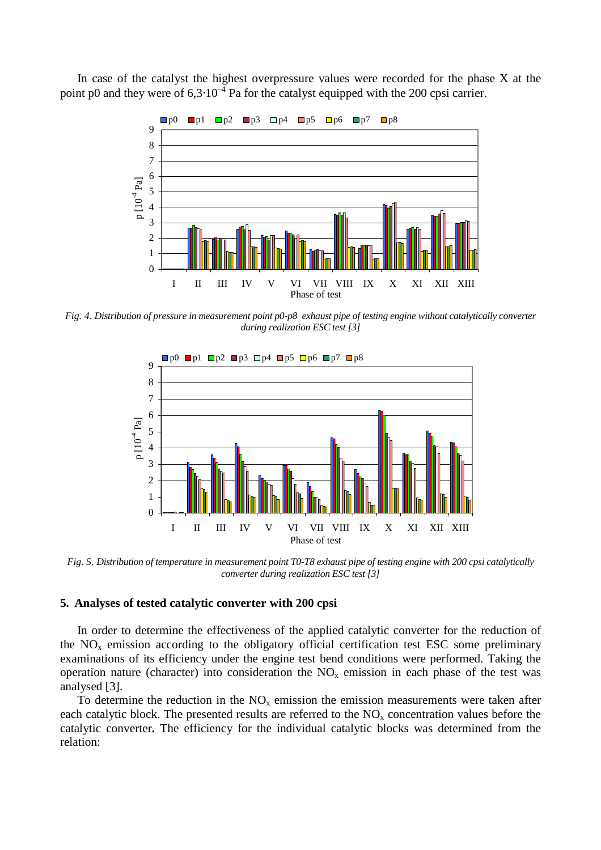In case of the catalyst the highest overpressure values were recorded for the phase X at the point p0 and they were of  $6,3.10^{-4}$  Pa for the catalyst equipped with the 200 cpsi carrier.



*Fig. 4. Distribution of pressure in measurement point p0-p8 exhaust pipe of testing engine without catalytically converter during realization ESC test [3]* 



*Fig. 5. Distribution of temperature in measurement point T0-T8 exhaust pipe of testing engine with 200 cpsi catalytically converter during realization ESC test [3]* 

### **5. Analyses of tested catalytic converter with 200 cpsi**

In order to determine the effectiveness of the applied catalytic converter for the reduction of the  $NO<sub>x</sub>$  emission according to the obligatory official certification test ESC some preliminary examinations of its efficiency under the engine test bend conditions were performed. Taking the operation nature (character) into consideration the  $NO<sub>x</sub>$  emission in each phase of the test was analysed [3].

To determine the reduction in the  $NO<sub>x</sub>$  emission the emission measurements were taken after each catalytic block. The presented results are referred to the  $NO<sub>x</sub>$  concentration values before the catalytic converter**.** The efficiency for the individual catalytic blocks was determined from the relation: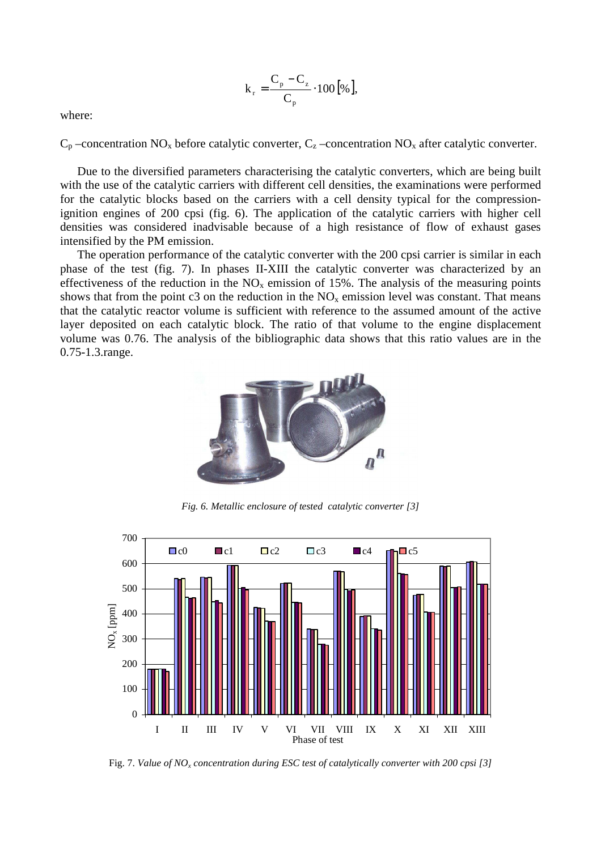$$
k_r = \frac{C_p - C_z}{C_p} \cdot 100 [%],
$$

where:

 $C_p$  –concentration NO<sub>x</sub> before catalytic converter,  $C_z$  –concentration NO<sub>x</sub> after catalytic converter.

Due to the diversified parameters characterising the catalytic converters, which are being built with the use of the catalytic carriers with different cell densities, the examinations were performed for the catalytic blocks based on the carriers with a cell density typical for the compressionignition engines of 200 cpsi (fig. 6). The application of the catalytic carriers with higher cell densities was considered inadvisable because of a high resistance of flow of exhaust gases intensified by the PM emission.

The operation performance of the catalytic converter with the 200 cpsi carrier is similar in each phase of the test (fig. 7). In phases II-XIII the catalytic converter was characterized by an effectiveness of the reduction in the  $NO<sub>x</sub>$  emission of 15%. The analysis of the measuring points shows that from the point c3 on the reduction in the  $NO<sub>x</sub>$  emission level was constant. That means that the catalytic reactor volume is sufficient with reference to the assumed amount of the active layer deposited on each catalytic block. The ratio of that volume to the engine displacement volume was 0.76. The analysis of the bibliographic data shows that this ratio values are in the 0.75-1.3.range.



*Fig. 6. Metallic enclosure of tested catalytic converter [3]* 



Fig. 7. *Value of NO<sup>x</sup> concentration during ESC test of catalytically converter with 200 cpsi [3]*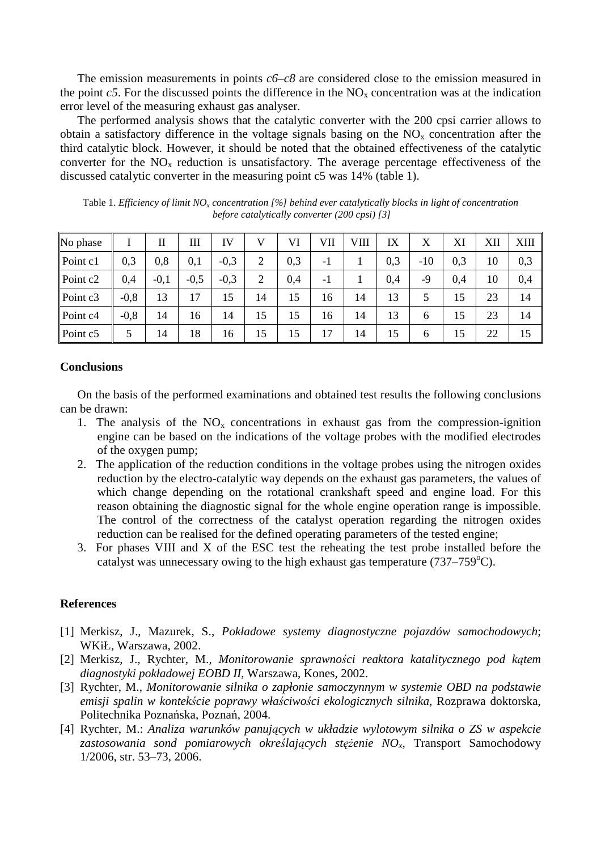The emission measurements in points *c6–c8* are considered close to the emission measured in the point  $c5$ . For the discussed points the difference in the  $NO<sub>x</sub>$  concentration was at the indication error level of the measuring exhaust gas analyser.

The performed analysis shows that the catalytic converter with the 200 cpsi carrier allows to obtain a satisfactory difference in the voltage signals basing on the  $NO<sub>x</sub>$  concentration after the third catalytic block. However, it should be noted that the obtained effectiveness of the catalytic converter for the  $NO<sub>x</sub>$  reduction is unsatisfactory. The average percentage effectiveness of the discussed catalytic converter in the measuring point c5 was 14% (table 1).

| No phase             |        | П      | Ш      | IV     | V              | VI  | VII  | VШ | IX  | Х             | XI  | XII | XШ  |
|----------------------|--------|--------|--------|--------|----------------|-----|------|----|-----|---------------|-----|-----|-----|
| Point c1             | 0,3    | 0,8    | 0,1    | $-0,3$ | 2              | 0,3 | $-1$ |    | 0,3 | $-10$         | 0,3 | 10  | 0,3 |
| Point c <sub>2</sub> | 0,4    | $-0,1$ | $-0,5$ | $-0,3$ | $\overline{2}$ | 0,4 | $-1$ |    | 0,4 | -9            | 0,4 | 10  | 0,4 |
| Point c3             | $-0,8$ | 13     | 17     | 15     | 14             | 15  | 16   | 14 | 13  |               | 15  | 23  | 14  |
| Point c4             | $-0,8$ | 14     | 16     | 14     | 15             | 15  | 16   | 14 | 13  | 6             | 15  | 23  | 14  |
| Point c5             |        | 14     | 18     | 16     | 15             | 15  | 17   | 14 | 15  | $\mathfrak b$ | 15  | 22  | 15  |

Table 1. *Efficiency of limit NO<sub>x</sub> concentration [%] behind ever catalytically blocks in light of concentration before catalytically converter (200 cpsi) [3]* 

## **Conclusions**

On the basis of the performed examinations and obtained test results the following conclusions can be drawn:

- 1. The analysis of the  $NO<sub>x</sub>$  concentrations in exhaust gas from the compression-ignition engine can be based on the indications of the voltage probes with the modified electrodes of the oxygen pump;
- 2. The application of the reduction conditions in the voltage probes using the nitrogen oxides reduction by the electro-catalytic way depends on the exhaust gas parameters, the values of which change depending on the rotational crankshaft speed and engine load. For this reason obtaining the diagnostic signal for the whole engine operation range is impossible. The control of the correctness of the catalyst operation regarding the nitrogen oxides reduction can be realised for the defined operating parameters of the tested engine;
- 3. For phases VIII and X of the ESC test the reheating the test probe installed before the catalyst was unnecessary owing to the high exhaust gas temperature  $(737-759^{\circ}C)$ .

### **References**

- [1] Merkisz, J., Mazurek, S., *Pokładowe systemy diagnostyczne pojazdów samochodowych*; WKiŁ, Warszawa, 2002.
- [2] Merkisz, J., Rychter, M., *Monitorowanie sprawno*ś*ci reaktora katalitycznego pod k*ą*tem diagnostyki pokładowej EOBD II*, Warszawa, Kones, 2002.
- [3] Rychter, M., *Monitorowanie silnika o zapłonie samoczynnym w systemie OBD na podstawie emisji spalin w kontek*ś*cie poprawy wła*ś*ciwo*ś*ci ekologicznych silnika*, Rozprawa doktorska, Politechnika Poznańska, Poznań, 2004.
- [4] Rychter, M.: *Analiza warunków panuj*ą*cych w układzie wylotowym silnika o ZS w aspekcie*  zastosowania sond pomiarowych określających stężenie NO<sub>x</sub>, Transport Samochodowy 1/2006, str. 53–73, 2006.